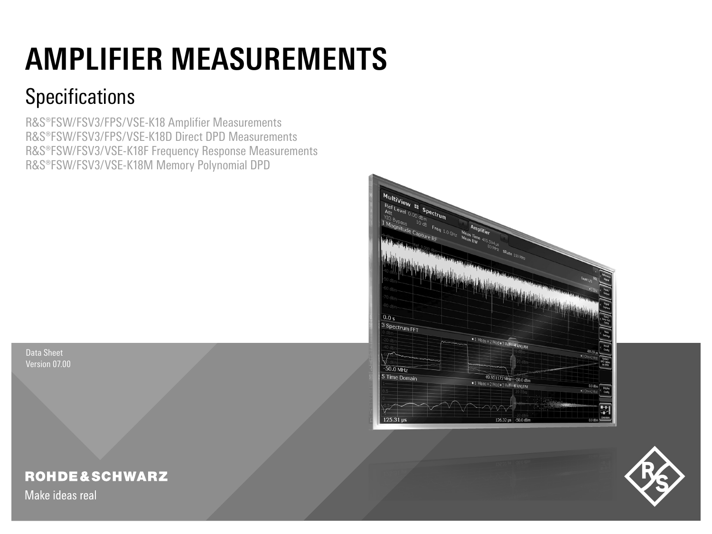# **AMPLIFIER MEASUREMENTS**

## **Specifications**

R&S®FSW/FSV3/FPS/VSE-K18 Amplifier Measurements R&S®FSW/FSV3/FPS/VSE-K18D Direct DPD Measurements R&S®FSW/FSV3/VSE-K18F Frequency Response Measurements R&S®FSW/FSV3/VSE-K18M Memory Polynomial DPD



Data Sheet Version 07.00

## **ROHDE&SCHWARZ**

Make ideas real

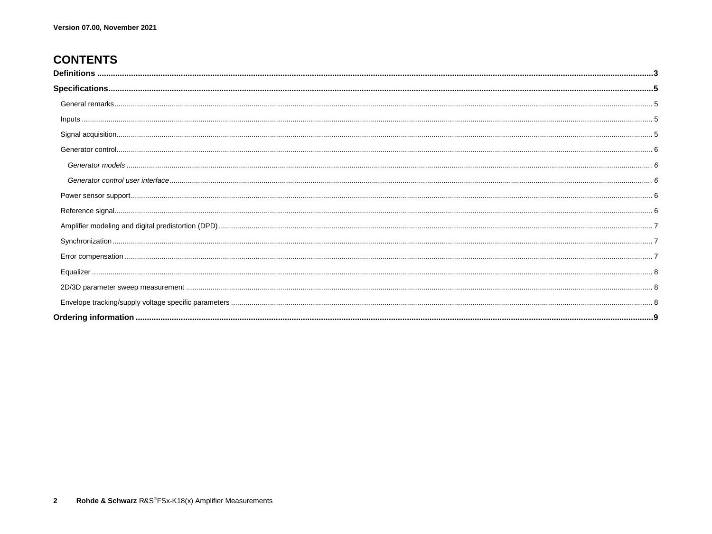## **CONTENTS**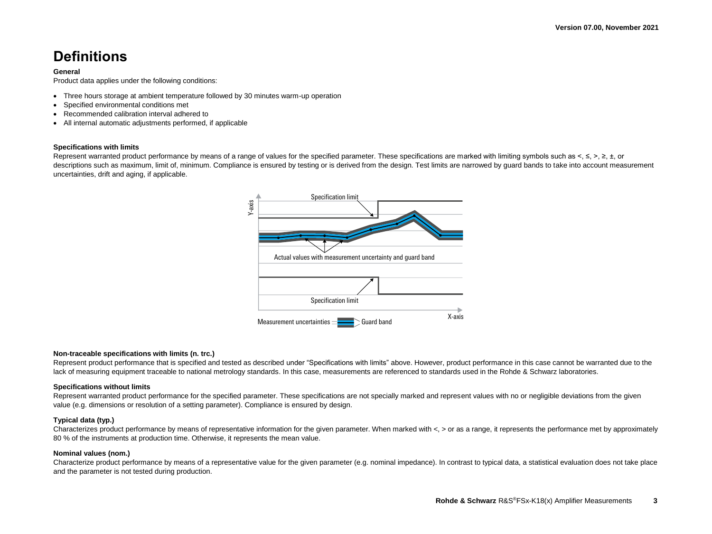## <span id="page-2-0"></span>**Definitions**

#### **General**

Product data applies under the following conditions:

- Three hours storage at ambient temperature followed by 30 minutes warm-up operation
- Specified environmental conditions met
- Recommended calibration interval adhered to
- All internal automatic adjustments performed, if applicable

#### **Specifications with limits**

Represent warranted product performance by means of a range of values for the specified parameter. These specifications are marked with limiting symbols such as  $\leq$ ,  $\geq$ ,  $\geq$ ,  $\pm$ , or descriptions such as maximum, limit of, minimum, Compliance is ensured by testing or is derived from the design. Test limits are narrowed by quard bands to take into account measurement uncertainties, drift and aging, if applicable.



#### **Non-traceable specifications with limits (n. trc.)**

Represent product performance that is specified and tested as described under "Specifications with limits" above. However, product performance in this case cannot be warranted due to the lack of measuring equipment traceable to national metrology standards. In this case, measurements are referenced to standards used in the Rohde & Schwarz laboratories.

#### **Specifications without limits**

Represent warranted product performance for the specified parameter. These specifications are not specially marked and represent values with no or negligible deviations from the given value (e.g. dimensions or resolution of a setting parameter). Compliance is ensured by design.

#### **Typical data (typ.)**

Characterizes product performance by means of representative information for the given parameter. When marked with <, > or as a range, it represents the performance met by approximately 80 % of the instruments at production time. Otherwise, it represents the mean value.

#### **Nominal values (nom.)**

Characterize product performance by means of a representative value for the given parameter (e.g. nominal impedance). In contrast to typical data, a statistical evaluation does not take place and the parameter is not tested during production.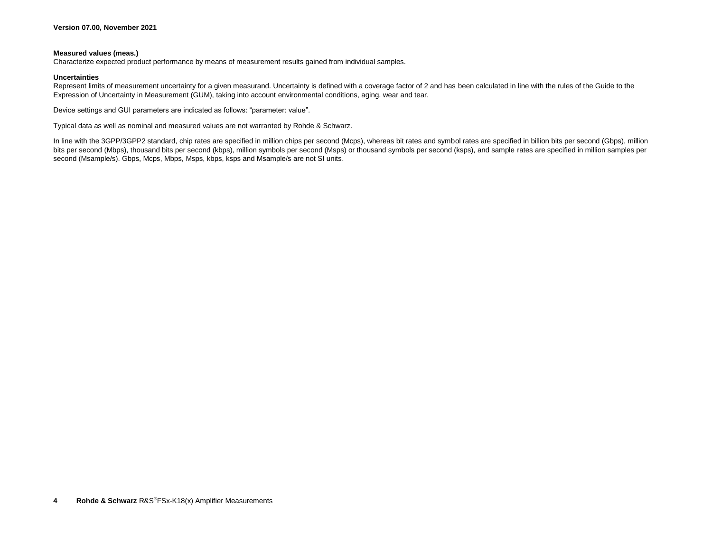#### **Measured values (meas.)**

Characterize expected product performance by means of measurement results gained from individual samples.

#### **Uncertainties**

Represent limits of measurement uncertainty for a given measurand. Uncertainty is defined with a coverage factor of 2 and has been calculated in line with the rules of the Guide to the Expression of Uncertainty in Measurement (GUM), taking into account environmental conditions, aging, wear and tear.

Device settings and GUI parameters are indicated as follows: "parameter: value".

Typical data as well as nominal and measured values are not warranted by Rohde & Schwarz.

In line with the 3GPP/3GPP2 standard, chip rates are specified in million chips per second (Mcps), whereas bit rates and symbol rates are specified in billion bits per second (Gbps), million bits per second (Mbps), thousand bits per second (kbps), million symbols per second (Msps) or thousand symbols per second (ksps), and sample rates are specified in million samples per second (Msample/s). Gbps, Mcps, Mbps, Msps, kbps, ksps and Msample/s are not SI units.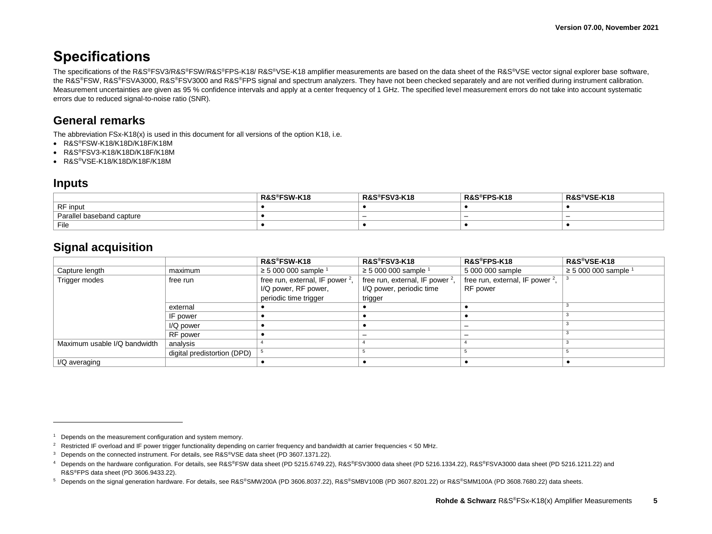## <span id="page-4-0"></span>**Specifications**

The specifications of the R&S®FSV3/R&S®FSW/R&S®FPS-K18/ R&S®VSE-K18 amplifier measurements are based on the data sheet of the R&S®VSE vector signal explorer base software, the R&S®FSW, R&S®FSVA3000, R&S®FSV3000 and R&S®FPS signal and spectrum analyzers. They have not been checked separately and are not verified during instrument calibration. Measurement uncertainties are given as 95 % confidence intervals and apply at a center frequency of 1 GHz. The specified level measurement errors do not take into account systematic errors due to reduced signal-to-noise ratio (SNR).

## <span id="page-4-1"></span>**General remarks**

The abbreviation  $FSx-K18(x)$  is used in this document for all versions of the option K18, i.e.

- R&S®FSW-K18/K18D/K18F/K18M
- R&S®FSV3-K18/K18D/K18F/K18M
- <span id="page-4-2"></span>• R&S®VSE-K18/K18D/K18F/K18M

#### **Inputs**

<span id="page-4-8"></span><span id="page-4-7"></span> $\overline{a}$ 

|                           | R&S®FSW-K18 | R&S®FSV3-K18 | <sup>୭</sup> FPS-K18<br>$R\&S^{\circledast}$ | R&S®VSE-K18 |
|---------------------------|-------------|--------------|----------------------------------------------|-------------|
| RF input                  |             |              |                                              |             |
| Parallel baseband capture |             |              |                                              |             |
| File                      |             |              |                                              |             |

#### <span id="page-4-3"></span>**Signal acquisition**

<span id="page-4-6"></span><span id="page-4-5"></span><span id="page-4-4"></span>

|                              |                             | R&S®FSW-K18                        | R&S®FSV3-K18                       | R&S®FPS-K18                        | R&S®VSE-K18            |
|------------------------------|-----------------------------|------------------------------------|------------------------------------|------------------------------------|------------------------|
| Capture length               | maximum                     | ≥ 5 000 000 sample $1$             | ≥ 5 000 000 sample $1$             | 5 000 000 sample                   | ≥ 5 000 000 sample $1$ |
| Trigger modes                | free run                    | free run, external, IF power $2$ , | free run, external, IF power $2$ , | free run, external, IF power $2$ , |                        |
|                              |                             | I/Q power, RF power,               | I/Q power, periodic time           | RF power                           |                        |
|                              |                             | periodic time trigger              | trigger                            |                                    |                        |
|                              | external                    |                                    |                                    |                                    |                        |
|                              | IF power                    |                                    |                                    |                                    |                        |
|                              | I/Q power                   |                                    |                                    |                                    |                        |
|                              | RF power                    |                                    |                                    |                                    |                        |
| Maximum usable I/Q bandwidth | analysis                    |                                    |                                    |                                    |                        |
|                              | digital predistortion (DPD) |                                    |                                    |                                    |                        |
| I/Q averaging                |                             |                                    |                                    |                                    |                        |

<sup>&</sup>lt;sup>1</sup> Depends on the measurement configuration and system memory.

<sup>&</sup>lt;sup>2</sup> Restricted IF overload and IF power trigger functionality depending on carrier frequency and bandwidth at carrier frequencies < 50 MHz.

<sup>&</sup>lt;sup>3</sup> Depends on the connected instrument. For details, see R&S®VSE data sheet (PD 3607.1371.22).

<sup>4</sup> Depends on the hardware configuration. For details, see R&S®FSW data sheet (PD 5215.6749.22), R&S®FSV3000 data sheet (PD 5216.1334.22), R&S®FSVA3000 data sheet (PD 5216.1211.22) and R&S®FPS data sheet (PD 3606.9433.22).

<sup>5</sup> Depends on the signal generation hardware. For details, see R&S®SMW200A (PD 3606.8037.22), R&S®SMBV100B (PD 3607.8201.22) or R&S®SMM100A (PD 3608.7680.22) data sheets.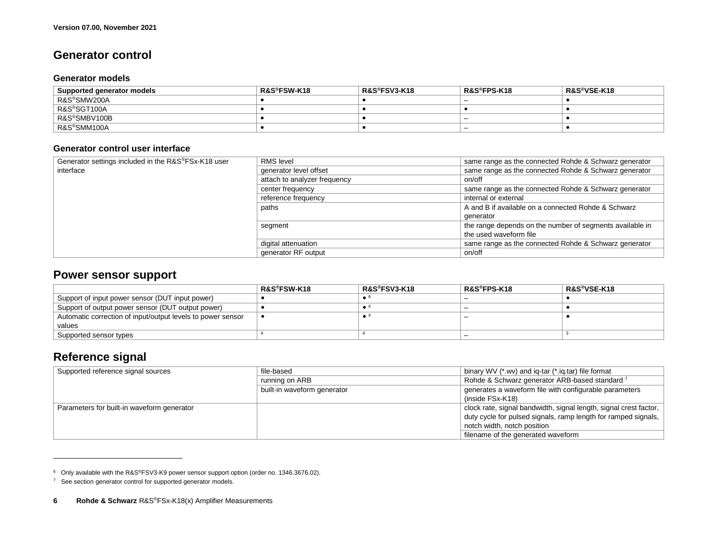### <span id="page-5-0"></span>**Generator control**

#### <span id="page-5-1"></span>**Generator models**

| Supported generator models | <b>R&amp;S®FSW-K18</b> | R&S®FSV3-K18 | R&S®FPS-K18              | R&S®VSE-K18 |
|----------------------------|------------------------|--------------|--------------------------|-------------|
| R&S®SMW200A                |                        |              |                          |             |
| <sup>⊦</sup> R&S®SGT100A   |                        |              |                          |             |
| R&S®SMBV100B               |                        |              | <b>_</b>                 |             |
| R&S®SMM100A                |                        |              | $\overline{\phantom{0}}$ |             |

#### <span id="page-5-2"></span>**Generator control user interface**

| Generator settings included in the R&S®FSx-K18 user | <b>RMS</b> level             | same range as the connected Rohde & Schwarz generator    |
|-----------------------------------------------------|------------------------------|----------------------------------------------------------|
| interface                                           | generator level offset       | same range as the connected Rohde & Schwarz generator    |
|                                                     | attach to analyzer frequency | on/off                                                   |
|                                                     | center frequency             | same range as the connected Rohde & Schwarz generator    |
|                                                     | reference frequency          | internal or external                                     |
|                                                     | paths                        | A and B if available on a connected Rohde & Schwarz      |
|                                                     |                              | generator                                                |
|                                                     | segment                      | the range depends on the number of segments available in |
|                                                     |                              | the used waveform file                                   |
|                                                     | digital attenuation          | same range as the connected Rohde & Schwarz generator    |
|                                                     | generator RF output          | on/off                                                   |

### <span id="page-5-3"></span>**Power sensor support**

<span id="page-5-5"></span>

|                                                             | R&S®FSW-K18 | R&S®FSV3-K18 | R&S®FPS-K18 | R&S®VSE-K18 |
|-------------------------------------------------------------|-------------|--------------|-------------|-------------|
| Support of input power sensor (DUT input power)             |             |              |             |             |
| Support of output power sensor (DUT output power)           |             | . .          |             |             |
| Automatic correction of input/output levels to power sensor |             | . .          |             |             |
| values                                                      |             |              |             |             |
| Supported sensor types                                      |             |              |             |             |

## <span id="page-5-4"></span>**Reference signal**

l

| Supported reference signal sources         | file-based                  | binary WV (*.wv) and ig-tar (*.ig.tar) file format                |
|--------------------------------------------|-----------------------------|-------------------------------------------------------------------|
|                                            | running on ARB              | Rohde & Schwarz generator ARB-based standard <sup>7</sup>         |
|                                            | built-in waveform generator | generates a waveform file with configurable parameters            |
|                                            |                             | $(inside FSx-K18)$                                                |
| Parameters for built-in waveform generator |                             | clock rate, signal bandwidth, signal length, signal crest factor, |
|                                            |                             | duty cycle for pulsed signals, ramp length for ramped signals,    |
|                                            |                             | notch width, notch position                                       |
|                                            |                             | filename of the generated waveform                                |

<sup>6</sup> Only available with the R&S®FSV3-K9 power sensor support option (order no. 1346.3676.02).

<sup>&</sup>lt;sup>7</sup> See section generator control for supported generator models.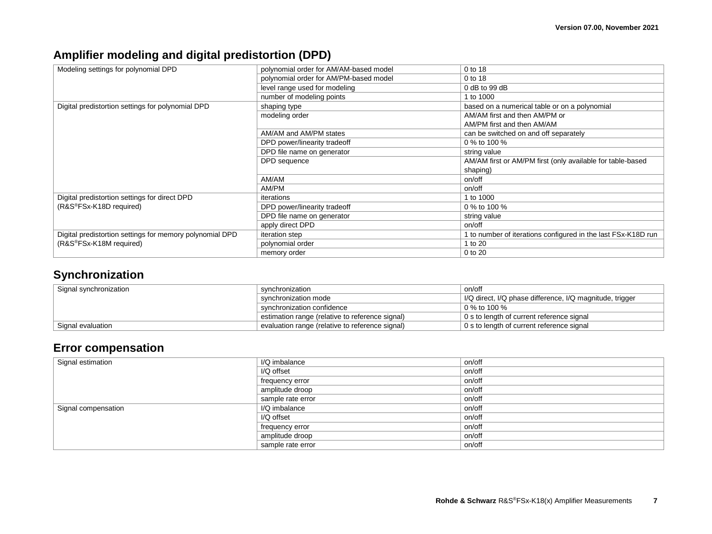## <span id="page-6-0"></span>**Amplifier modeling and digital predistortion (DPD)**

| Modeling settings for polynomial DPD                     | polynomial order for AM/AM-based model | 0 to 18                                                       |
|----------------------------------------------------------|----------------------------------------|---------------------------------------------------------------|
|                                                          | polynomial order for AM/PM-based model | 0 to 18                                                       |
|                                                          | level range used for modeling          | $0$ dB to 99 dB                                               |
|                                                          | number of modeling points              | 1 to 1000                                                     |
| Digital predistortion settings for polynomial DPD        | shaping type                           | based on a numerical table or on a polynomial                 |
|                                                          | modeling order                         | AM/AM first and then AM/PM or                                 |
|                                                          |                                        | AM/PM first and then AM/AM                                    |
|                                                          | AM/AM and AM/PM states                 | can be switched on and off separately                         |
|                                                          | DPD power/linearity tradeoff           | 0 % to 100 %                                                  |
|                                                          | DPD file name on generator             | string value                                                  |
|                                                          | DPD sequence                           | AM/AM first or AM/PM first (only available for table-based    |
|                                                          |                                        | shaping)                                                      |
|                                                          | AM/AM                                  | on/off                                                        |
|                                                          | AM/PM                                  | on/off                                                        |
| Digital predistortion settings for direct DPD            | iterations                             | 1 to 1000                                                     |
| (R&S®FSx-K18D required)                                  | DPD power/linearity tradeoff           | 0 % to 100 %                                                  |
|                                                          | DPD file name on generator             | string value                                                  |
|                                                          | apply direct DPD                       | on/off                                                        |
| Digital predistortion settings for memory polynomial DPD | <i>iteration</i> step                  | 1 to number of iterations configured in the last FSx-K18D run |
| (R&S <sup>®</sup> FSx-K18M required)                     | polynomial order                       | 1 to 20                                                       |
|                                                          | memory order                           | 0 to 20                                                       |

## <span id="page-6-1"></span>**Synchronization**

| Signal synchronization     | svnchronization                                 | on/off                                                   |
|----------------------------|-------------------------------------------------|----------------------------------------------------------|
|                            | synchronization mode                            | I/Q direct, I/Q phase difference, I/Q magnitude, trigger |
| synchronization confidence |                                                 | 0 % to 100 %                                             |
|                            | estimation range (relative to reference signal) | 0 s to length of current reference signal                |
| Signal evaluation          | evaluation range (relative to reference signal) | 0 s to length of current reference signal                |

## <span id="page-6-2"></span>**Error compensation**

| Signal estimation   | I/Q imbalance     | on/off |
|---------------------|-------------------|--------|
|                     | I/Q offset        | on/off |
|                     | frequency error   | on/off |
|                     | amplitude droop   | on/off |
|                     | sample rate error | on/off |
| Signal compensation | I/Q imbalance     | on/off |
|                     | I/Q offset        | on/off |
|                     | frequency error   | on/off |
|                     | amplitude droop   | on/off |
|                     | sample rate error | on/off |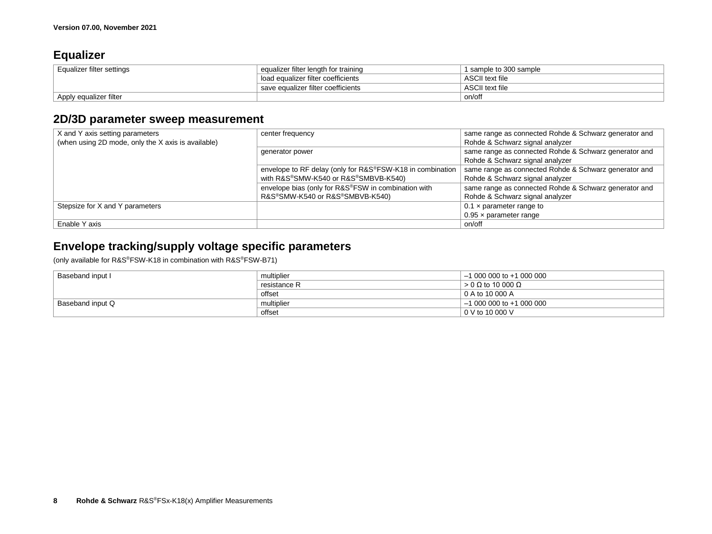## <span id="page-7-0"></span>**Equalizer**

| Equalizer filter settings | equalizer filter length for training | 1 sample to 300 sample |
|---------------------------|--------------------------------------|------------------------|
|                           | load equalizer filter coefficients   | ASCII text file        |
|                           | save equalizer filter coefficients   | ASCII text file        |
| Apply equalizer filter    |                                      | on/off                 |

## <span id="page-7-1"></span>**2D/3D parameter sweep measurement**

| X and Y axis setting parameters                    | center frequency                                          | same range as connected Rohde & Schwarz generator and |
|----------------------------------------------------|-----------------------------------------------------------|-------------------------------------------------------|
| (when using 2D mode, only the X axis is available) |                                                           | Rohde & Schwarz signal analyzer                       |
|                                                    | generator power                                           | same range as connected Rohde & Schwarz generator and |
|                                                    |                                                           | Rohde & Schwarz signal analyzer                       |
|                                                    | envelope to RF delay (only for R&S®FSW-K18 in combination | same range as connected Rohde & Schwarz generator and |
|                                                    | with R&S®SMW-K540 or R&S®SMBVB-K540)                      | Rohde & Schwarz signal analyzer                       |
|                                                    | envelope bias (only for R&S®FSW in combination with       | same range as connected Rohde & Schwarz generator and |
|                                                    | R&S®SMW-K540 or R&S®SMBVB-K540)                           | Rohde & Schwarz signal analyzer                       |
| Stepsize for X and Y parameters                    |                                                           | $0.1 \times$ parameter range to                       |
|                                                    |                                                           | $0.95 \times$ parameter range                         |
| Enable Y axis                                      |                                                           | on/off                                                |

## <span id="page-7-2"></span>**Envelope tracking/supply voltage specific parameters**

(only available for R&S®FSW-K18 in combination with R&S®FSW-B71)

| Baseband input I | multiplier   | $-1000000000+1000000$     |
|------------------|--------------|---------------------------|
|                  | resistance R | $> 0$ Q to 10 000 Q       |
|                  | offset       | 0 A to 10 000 A           |
| Baseband input Q | multiplier   | $-10000000$ to $+1000000$ |
|                  | offset       | $0 \vee$ to 10 000 V      |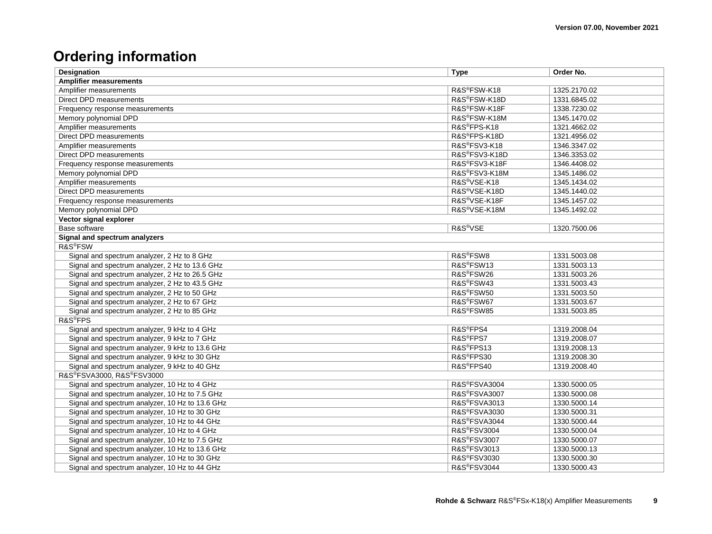## <span id="page-8-0"></span>**Ordering information**

| Designation                                     | <b>Type</b>               | Order No.    |  |
|-------------------------------------------------|---------------------------|--------------|--|
| <b>Amplifier measurements</b>                   |                           |              |  |
| Amplifier measurements                          | R&S®FSW-K18               | 1325.2170.02 |  |
| Direct DPD measurements                         | R&S®FSW-K18D              | 1331.6845.02 |  |
| Frequency response measurements                 | R&S®FSW-K18F              | 1338.7230.02 |  |
| Memory polynomial DPD                           | R&S®FSW-K18M              | 1345.1470.02 |  |
| Amplifier measurements                          | R&S <sup>®</sup> FPS-K18  | 1321.4662.02 |  |
| Direct DPD measurements                         | R&S®FPS-K18D              | 1321.4956.02 |  |
| Amplifier measurements                          | R&S®FSV3-K18              | 1346.3347.02 |  |
| Direct DPD measurements                         | R&S®FSV3-K18D             | 1346.3353.02 |  |
| Frequency response measurements                 | R&S®FSV3-K18F             | 1346.4408.02 |  |
| Memory polynomial DPD                           | R&S®FSV3-K18M             | 1345.1486.02 |  |
| Amplifier measurements                          | R&S <sup>®</sup> VSE-K18  | 1345.1434.02 |  |
| Direct DPD measurements                         | R&S®VSE-K18D              | 1345.1440.02 |  |
| Frequency response measurements                 | R&S®VSE-K18F              | 1345.1457.02 |  |
| Memory polynomial DPD                           | R&S <sup>®</sup> VSE-K18M | 1345.1492.02 |  |
| Vector signal explorer                          |                           |              |  |
| Base software                                   | R&S <sup>®</sup> VSE      | 1320.7500.06 |  |
| Signal and spectrum analyzers                   |                           |              |  |
| R&S <sup>®</sup> FSW                            |                           |              |  |
| Signal and spectrum analyzer, 2 Hz to 8 GHz     | R&S <sup>®</sup> FSW8     | 1331.5003.08 |  |
| Signal and spectrum analyzer, 2 Hz to 13.6 GHz  | R&S®FSW13                 | 1331.5003.13 |  |
| Signal and spectrum analyzer, 2 Hz to 26.5 GHz  | R&S®FSW26                 | 1331.5003.26 |  |
| Signal and spectrum analyzer, 2 Hz to 43.5 GHz  | R&S®FSW43                 | 1331.5003.43 |  |
| Signal and spectrum analyzer, 2 Hz to 50 GHz    | R&S <sup>®</sup> FSW50    | 1331.5003.50 |  |
| Signal and spectrum analyzer, 2 Hz to 67 GHz    | R&S <sup>®</sup> FSW67    | 1331.5003.67 |  |
| Signal and spectrum analyzer, 2 Hz to 85 GHz    | R&S®FSW85                 | 1331.5003.85 |  |
| R&S <sup>®</sup> FPS                            |                           |              |  |
| Signal and spectrum analyzer, 9 kHz to 4 GHz    | R&S <sup>®</sup> FPS4     | 1319.2008.04 |  |
| Signal and spectrum analyzer, 9 kHz to 7 GHz    | R&S <sup>®</sup> FPS7     | 1319.2008.07 |  |
| Signal and spectrum analyzer, 9 kHz to 13.6 GHz | R&S®FPS13                 | 1319.2008.13 |  |
| Signal and spectrum analyzer, 9 kHz to 30 GHz   | R&S®FPS30                 | 1319.2008.30 |  |
| Signal and spectrum analyzer, 9 kHz to 40 GHz   | R&S®FPS40                 | 1319.2008.40 |  |
| R&S®FSVA3000, R&S®FSV3000                       |                           |              |  |
| Signal and spectrum analyzer, 10 Hz to 4 GHz    | R&S®FSVA3004              | 1330.5000.05 |  |
| Signal and spectrum analyzer, 10 Hz to 7.5 GHz  | R&S®FSVA3007              | 1330.5000.08 |  |
| Signal and spectrum analyzer, 10 Hz to 13.6 GHz | R&S®FSVA3013              | 1330.5000.14 |  |
| Signal and spectrum analyzer, 10 Hz to 30 GHz   | R&S®FSVA3030              | 1330.5000.31 |  |
| Signal and spectrum analyzer, 10 Hz to 44 GHz   | R&S®FSVA3044              | 1330.5000.44 |  |
| Signal and spectrum analyzer, 10 Hz to 4 GHz    | <b>R&amp;S®FSV3004</b>    | 1330.5000.04 |  |
| Signal and spectrum analyzer, 10 Hz to 7.5 GHz  | <b>R&amp;S®FSV3007</b>    | 1330.5000.07 |  |
| Signal and spectrum analyzer, 10 Hz to 13.6 GHz | R&S <sup>®</sup> FSV3013  | 1330.5000.13 |  |
| Signal and spectrum analyzer, 10 Hz to 30 GHz   | <b>R&amp;S®FSV3030</b>    | 1330.5000.30 |  |
| Signal and spectrum analyzer, 10 Hz to 44 GHz   | <b>R&amp;S®FSV3044</b>    | 1330.5000.43 |  |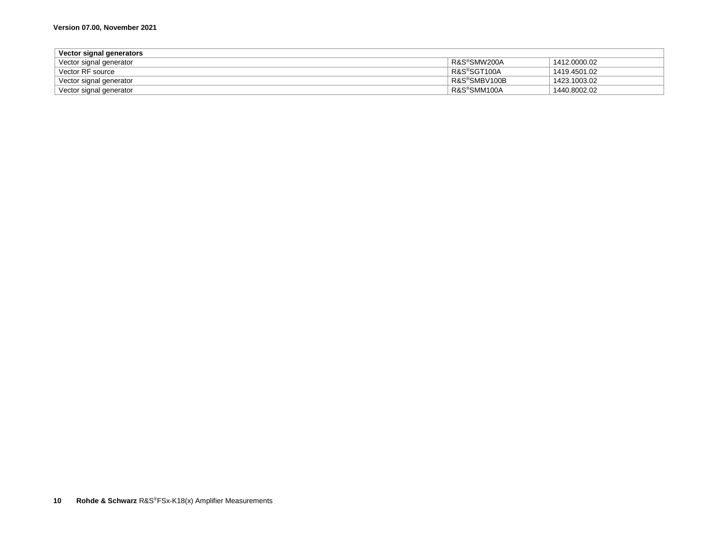| Vector signal generators |              |              |
|--------------------------|--------------|--------------|
| Vector signal generator  | R&S®SMW200A  | 1412.0000.02 |
| Vector RF source         | R&S®SGT100A  | 1419.4501.02 |
| Vector signal generator  | R&S®SMBV100B | 1423.1003.02 |
| Vector signal generator  | R&S®SMM100A  | 1440.8002.02 |